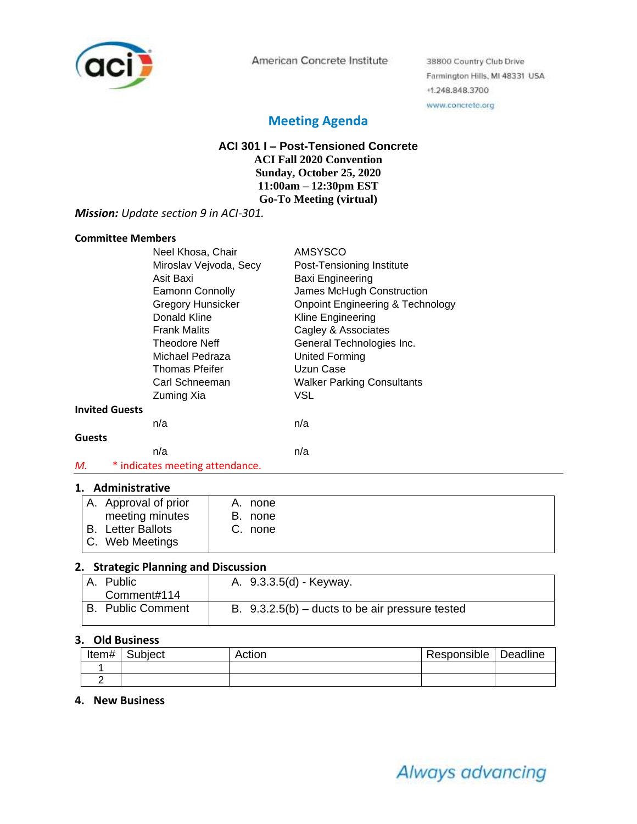

American Concrete Institute

38800 Country Club Drive Farmington Hills, MI 48331 USA +1.248.848.3700 www.concrete.org

## **Meeting Agenda**

## **ACI 301 I – Post-Tensioned Concrete ACI Fall 2020 Convention**

**Sunday, October 25, 2020 11:00am – 12:30pm EST Go-To Meeting (virtual)**

#### *Mission: Update section 9 in ACI-301.*

#### **Committee Members**

|                       | Neel Khosa, Chair               | <b>AMSYSCO</b>                              |
|-----------------------|---------------------------------|---------------------------------------------|
|                       | Miroslav Vejvoda, Secy          | Post-Tensioning Institute                   |
|                       | Asit Baxi                       | Baxi Engineering                            |
|                       | <b>Eamonn Connolly</b>          | James McHugh Construction                   |
|                       | <b>Gregory Hunsicker</b>        | <b>Onpoint Engineering &amp; Technology</b> |
|                       | Donald Kline                    | Kline Engineering                           |
|                       | <b>Frank Malits</b>             | Cagley & Associates                         |
|                       | Theodore Neff                   | General Technologies Inc.                   |
|                       | Michael Pedraza                 | <b>United Forming</b>                       |
|                       | Thomas Pfeifer                  | Uzun Case                                   |
|                       | Carl Schneeman                  | <b>Walker Parking Consultants</b>           |
|                       | Zuming Xia                      | VSL                                         |
| <b>Invited Guests</b> |                                 |                                             |
|                       | n/a                             | n/a                                         |
| <b>Guests</b>         |                                 |                                             |
|                       | n/a                             | n/a                                         |
| М.                    | * indicates meeting attendance. |                                             |

#### **1. Administrative**

| A. Approval of prior   | A. none |
|------------------------|---------|
| meeting minutes        | B. none |
| Letter Ballots<br>' B. | C. none |
| C. Web Meetings        |         |

### **2. Strategic Planning and Discussion**

| A. Public                | A. 9.3.3.5(d) - Keyway.                           |
|--------------------------|---------------------------------------------------|
| Comment#114              |                                                   |
| <b>B.</b> Public Comment | B. $9.3.2.5(b)$ – ducts to be air pressure tested |

#### **3. Old Business**

| Item# | Subject | Actior | Responsible | Deadline |
|-------|---------|--------|-------------|----------|
|       |         |        |             |          |
|       |         |        |             |          |

#### **4. New Business**

# Always advancing